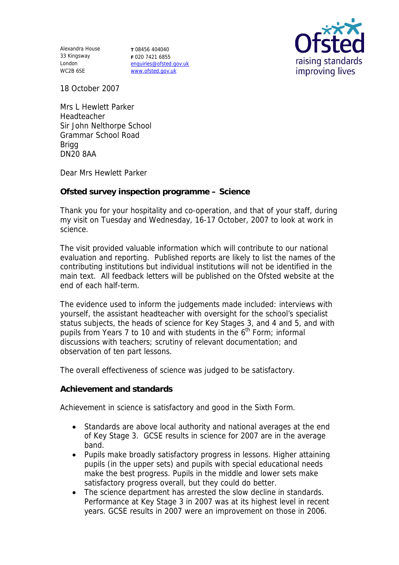Alexandra House 33 Kingsway London WC2B 6SE

**T** 08456 404040 **F** 020 7421 6855 enquiries@ofsted.gov.uk www.ofsted.gov.uk



18 October 2007

Mrs L Hewlett Parker Headteacher Sir John Nelthorpe School Grammar School Road **Brigg** DN20 8AA

Dear Mrs Hewlett Parker

**Ofsted survey inspection programme – Science**

Thank you for your hospitality and co-operation, and that of your staff, during my visit on Tuesday and Wednesday, 16-17 October, 2007 to look at work in science.

The visit provided valuable information which will contribute to our national evaluation and reporting. Published reports are likely to list the names of the contributing institutions but individual institutions will not be identified in the main text. All feedback letters will be published on the Ofsted website at the end of each half-term.

The evidence used to inform the judgements made included: interviews with yourself, the assistant headteacher with oversight for the school's specialist status subjects, the heads of science for Key Stages 3, and 4 and 5, and with pupils from Years 7 to 10 and with students in the  $6<sup>th</sup>$  Form; informal discussions with teachers; scrutiny of relevant documentation; and observation of ten part lessons.

The overall effectiveness of science was judged to be satisfactory.

**Achievement and standards**

Achievement in science is satisfactory and good in the Sixth Form.

- Standards are above local authority and national averages at the end of Key Stage 3. GCSE results in science for 2007 are in the average band.
- Pupils make broadly satisfactory progress in lessons. Higher attaining pupils (in the upper sets) and pupils with special educational needs make the best progress. Pupils in the middle and lower sets make satisfactory progress overall, but they could do better.
- The science department has arrested the slow decline in standards. Performance at Key Stage 3 in 2007 was at its highest level in recent years. GCSE results in 2007 were an improvement on those in 2006.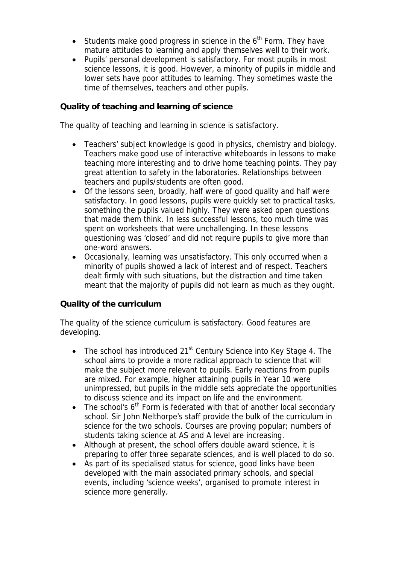- Students make good progress in science in the  $6<sup>th</sup>$  Form. They have mature attitudes to learning and apply themselves well to their work.
- Pupils' personal development is satisfactory. For most pupils in most science lessons, it is good. However, a minority of pupils in middle and lower sets have poor attitudes to learning. They sometimes waste the time of themselves, teachers and other pupils.

## **Quality of teaching and learning of science**

The quality of teaching and learning in science is satisfactory.

- Teachers' subject knowledge is good in physics, chemistry and biology. Teachers make good use of interactive whiteboards in lessons to make teaching more interesting and to drive home teaching points. They pay great attention to safety in the laboratories. Relationships between teachers and pupils/students are often good.
- Of the lessons seen, broadly, half were of good quality and half were satisfactory. In good lessons, pupils were quickly set to practical tasks, something the pupils valued highly. They were asked open questions that made them think. In less successful lessons, too much time was spent on worksheets that were unchallenging. In these lessons questioning was 'closed' and did not require pupils to give more than one-word answers.
- Occasionally, learning was unsatisfactory. This only occurred when a minority of pupils showed a lack of interest and of respect. Teachers dealt firmly with such situations, but the distraction and time taken meant that the majority of pupils did not learn as much as they ought.

## **Quality of the curriculum**

The quality of the science curriculum is satisfactory. Good features are developing.

- The school has introduced  $21<sup>st</sup>$  Century Science into Key Stage 4. The school aims to provide a more radical approach to science that will make the subject more relevant to pupils. Early reactions from pupils are mixed. For example, higher attaining pupils in Year 10 were unimpressed, but pupils in the middle sets appreciate the opportunities to discuss science and its impact on life and the environment.
- The school's  $6<sup>th</sup>$  Form is federated with that of another local secondary school. Sir John Nelthorpe's staff provide the bulk of the curriculum in science for the two schools. Courses are proving popular; numbers of students taking science at AS and A level are increasing.
- Although at present, the school offers double award science, it is preparing to offer three separate sciences, and is well placed to do so.
- As part of its specialised status for science, good links have been developed with the main associated primary schools, and special events, including 'science weeks', organised to promote interest in science more generally.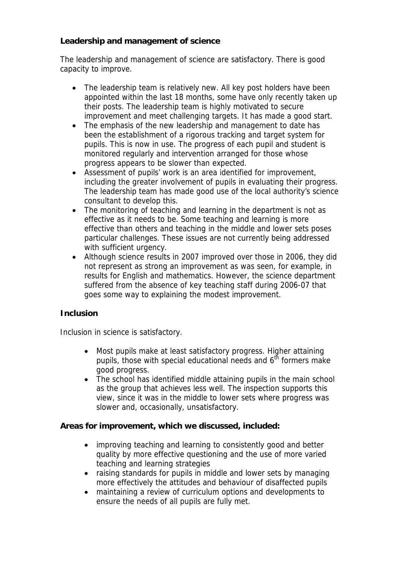**Leadership and management of science**

The leadership and management of science are satisfactory. There is good capacity to improve.

- The leadership team is relatively new. All key post holders have been appointed within the last 18 months, some have only recently taken up their posts. The leadership team is highly motivated to secure improvement and meet challenging targets. It has made a good start.
- The emphasis of the new leadership and management to date has been the establishment of a rigorous tracking and target system for pupils. This is now in use. The progress of each pupil and student is monitored regularly and intervention arranged for those whose progress appears to be slower than expected.
- Assessment of pupils' work is an area identified for improvement, including the greater involvement of pupils in evaluating their progress. The leadership team has made good use of the local authority's science consultant to develop this.
- The monitoring of teaching and learning in the department is not as effective as it needs to be. Some teaching and learning is more effective than others and teaching in the middle and lower sets poses particular challenges. These issues are not currently being addressed with sufficient urgency.
- Although science results in 2007 improved over those in 2006, they did not represent as strong an improvement as was seen, for example, in results for English and mathematics. However, the science department suffered from the absence of key teaching staff during 2006-07 that goes some way to explaining the modest improvement.

## **Inclusion**

Inclusion in science is satisfactory.

- Most pupils make at least satisfactory progress. Higher attaining pupils, those with special educational needs and  $6<sup>th</sup>$  formers make good progress.
- The school has identified middle attaining pupils in the main school as the group that achieves less well. The inspection supports this view, since it was in the middle to lower sets where progress was slower and, occasionally, unsatisfactory.

**Areas for improvement, which we discussed, included:**

- improving teaching and learning to consistently good and better quality by more effective questioning and the use of more varied teaching and learning strategies
- raising standards for pupils in middle and lower sets by managing more effectively the attitudes and behaviour of disaffected pupils
- maintaining a review of curriculum options and developments to ensure the needs of all pupils are fully met.